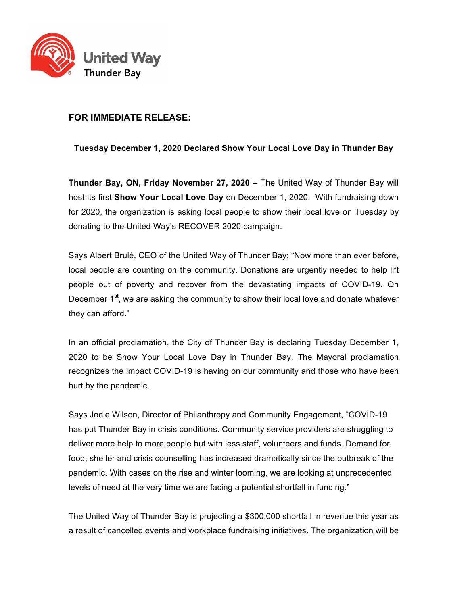

## **FOR IMMEDIATE RELEASE:**

## **Tuesday December 1, 2020 Declared Show Your Local Love Day in Thunder Bay**

**Thunder Bay, ON, Friday November 27, 2020** – The United Way of Thunder Bay will host its first **Show Your Local Love Day** on December 1, 2020. With fundraising down for 2020, the organization is asking local people to show their local love on Tuesday by donating to the United Way's RECOVER 2020 campaign.

Says Albert Brulé, CEO of the United Way of Thunder Bay; "Now more than ever before, local people are counting on the community. Donations are urgently needed to help lift people out of poverty and recover from the devastating impacts of COVID-19. On December  $1<sup>st</sup>$ , we are asking the community to show their local love and donate whatever they can afford."

In an official proclamation, the City of Thunder Bay is declaring Tuesday December 1, 2020 to be Show Your Local Love Day in Thunder Bay. The Mayoral proclamation recognizes the impact COVID-19 is having on our community and those who have been hurt by the pandemic.

Says Jodie Wilson, Director of Philanthropy and Community Engagement, "COVID-19 has put Thunder Bay in crisis conditions. Community service providers are struggling to deliver more help to more people but with less staff, volunteers and funds. Demand for food, shelter and crisis counselling has increased dramatically since the outbreak of the pandemic. With cases on the rise and winter looming, we are looking at unprecedented levels of need at the very time we are facing a potential shortfall in funding."

The United Way of Thunder Bay is projecting a \$300,000 shortfall in revenue this year as a result of cancelled events and workplace fundraising initiatives. The organization will be